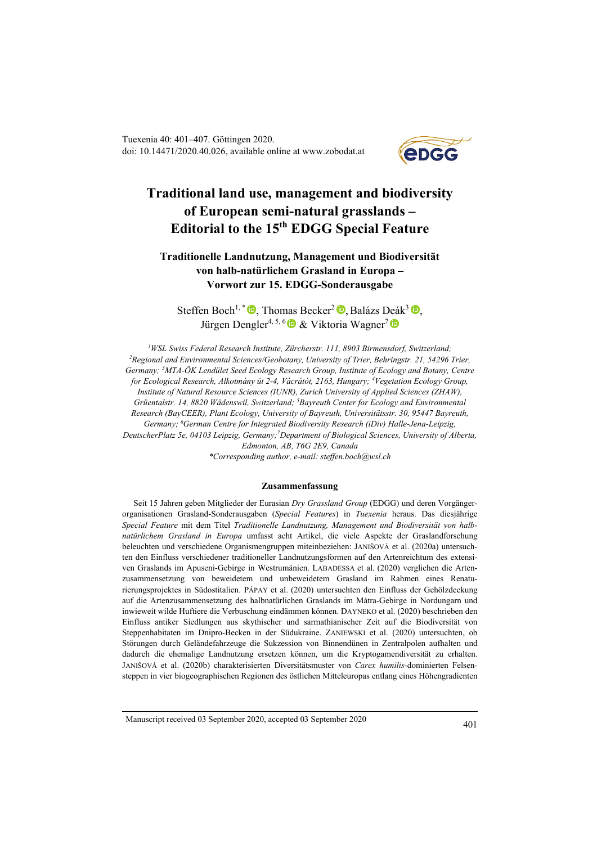Tuexenia 40: 401–407. Göttingen 2020. doi: 10.14471/2020.40.026, available online at www.zobodat.at



# **Traditional land use, management and biodiversity of European semi-natural grasslands – Editorial to the 15th EDGG Special Feature**

# **Traditionelle Landnutzung, Management und Biodiversität von halb-natürlichem Grasland in Europa – Vorwort zur 15. EDGG-Sonderausgabe**

Steffen Boch<sup>1, \*</sup>  $\bullet$ , Thomas Becker<sup>2</sup> $\bullet$ , Balázs Deák<sup>3</sup> $\bullet$ , JürgenDengler<sup>4, 5, 6</sup>  $\bullet \&$  Viktoria Wagner<sup>7</sup>

*1 WSL Swiss Federal Research Institute, Zürcherstr. 111, 8903 Birmensdorf, Switzerland; 2 Regional and Environmental Sciences/Geobotany, University of Trier, Behringstr. 21, 54296 Trier, Germany; <sup>3</sup> MTA-ÖK Lendület Seed Ecology Research Group, Institute of Ecology and Botany, Centre for Ecological Research, Alkotmány út 2-4, Vácrátót, 2163, Hungary; <sup>4</sup> Vegetation Ecology Group, Institute of Natural Resource Sciences (IUNR), Zurich University of Applied Sciences (ZHAW), Grüentalstr. 14, 8820 Wädenswil, Switzerland; 5 Bayreuth Center for Ecology and Environmental Research (BayCEER), Plant Ecology, University of Bayreuth, Universitätsstr. 30, 95447 Bayreuth,*  Germany; <sup>6</sup>German Centre for Integrated Biodiversity Research (iDiv) Halle-Jena-Leipzig, DeutscherPlatz 5e, 04103 Leipzig, Germany;<sup>7</sup>Department of Biological Sciences, University of Alberta, *Edmonton, AB, T6G 2E9, Canada \*Corresponding author, e-mail: steffen.boch@wsl.ch*

### **Zusammenfassung**

Seit 15 Jahren geben Mitglieder der Eurasian *Dry Grassland Group* (EDGG) und deren Vorgängerorganisationen Grasland-Sonderausgaben (*Special Features*) in *Tuexenia* heraus. Das diesjährige *Special Feature* mit dem Titel *Traditionelle Landnutzung, Management und Biodiversität von halbnatürlichem Grasland in Europa* umfasst acht Artikel, die viele Aspekte der Graslandforschung beleuchten und verschiedene Organismengruppen miteinbeziehen: JANIŠOVÁ et al. (2020a) untersuchten den Einfluss verschiedener traditioneller Landnutzungsformen auf den Artenreichtum des extensiven Graslands im Apuseni-Gebirge in Westrumänien. LABADESSA et al. (2020) verglichen die Artenzusammensetzung von beweidetem und unbeweidetem Grasland im Rahmen eines Renaturierungsprojektes in Südostitalien. PÁPAY et al. (2020) untersuchten den Einfluss der Gehölzdeckung auf die Artenzusammensetzung des halbnatürlichen Graslands im Mátra-Gebirge in Nordungarn und inwieweit wilde Huftiere die Verbuschung eindämmen können. DAYNEKO et al. (2020) beschrieben den Einfluss antiker Siedlungen aus skythischer und sarmathianischer Zeit auf die Biodiversität von Steppenhabitaten im Dnipro-Becken in der Südukraine. ZANIEWSKI et al. (2020) untersuchten, ob Störungen durch Geländefahrzeuge die Sukzession von Binnendünen in Zentralpolen aufhalten und dadurch die ehemalige Landnutzung ersetzen können, um die Kryptogamendiversität zu erhalten. JANIŠOVÁ et al. (2020b) charakterisierten Diversitätsmuster von *Carex humilis*-dominierten Felsensteppen in vier biogeographischen Regionen des östlichen Mitteleuropas entlang eines Höhengradienten

Manuscript received 03 September 2020, accepted 03 September 2020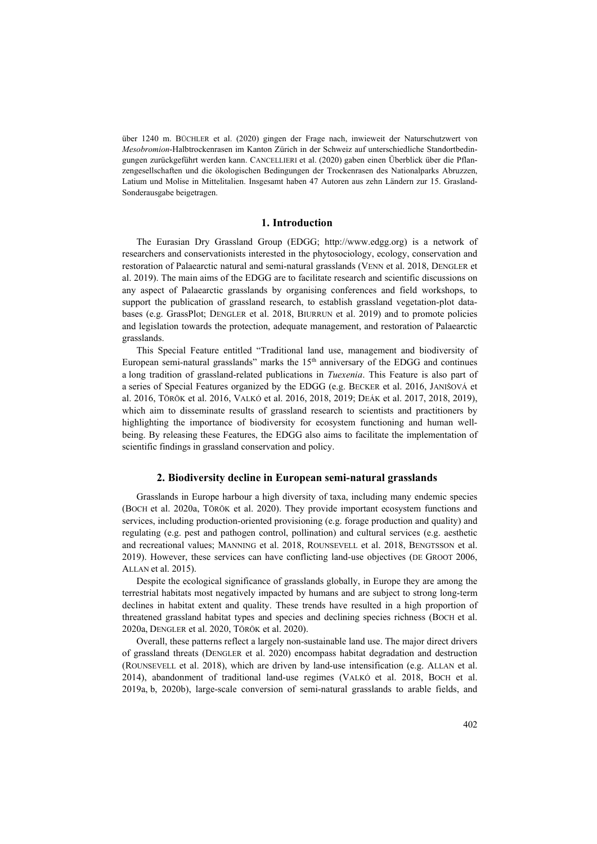über 1240 m. BÜCHLER et al. (2020) gingen der Frage nach, inwieweit der Naturschutzwert von *Mesobromion*-Halbtrockenrasen im Kanton Zürich in der Schweiz auf unterschiedliche Standortbedingungen zurückgeführt werden kann. CANCELLIERI et al. (2020) gaben einen Überblick über die Pflanzengesellschaften und die ökologischen Bedingungen der Trockenrasen des Nationalparks Abruzzen, Latium und Molise in Mittelitalien. Insgesamt haben 47 Autoren aus zehn Ländern zur 15. Grasland-Sonderausgabe beigetragen.

## **1. Introduction**

The Eurasian Dry Grassland Group (EDGG; http://www.edgg.org) is a network of researchers and conservationists interested in the phytosociology, ecology, conservation and restoration of Palaearctic natural and semi-natural grasslands (VENN et al. 2018, DENGLER et al. 2019). The main aims of the EDGG are to facilitate research and scientific discussions on any aspect of Palaearctic grasslands by organising conferences and field workshops, to support the publication of grassland research, to establish grassland vegetation-plot databases (e.g. GrassPlot; DENGLER et al. 2018, BIURRUN et al. 2019) and to promote policies and legislation towards the protection, adequate management, and restoration of Palaearctic grasslands.

This Special Feature entitled "Traditional land use, management and biodiversity of European semi-natural grasslands" marks the  $15<sup>th</sup>$  anniversary of the EDGG and continues a long tradition of grassland-related publications in *Tuexenia*. This Feature is also part of a series of Special Features organized by the EDGG (e.g. BECKER et al. 2016, JANIŠOVÁ et al. 2016, TÖRÖK et al. 2016, VALKÓ et al. 2016, 2018, 2019; DEÁK et al. 2017, 2018, 2019), which aim to disseminate results of grassland research to scientists and practitioners by highlighting the importance of biodiversity for ecosystem functioning and human wellbeing. By releasing these Features, the EDGG also aims to facilitate the implementation of scientific findings in grassland conservation and policy.

# **2. Biodiversity decline in European semi-natural grasslands**

Grasslands in Europe harbour a high diversity of taxa, including many endemic species (BOCH et al. 2020a, TÖRÖK et al. 2020). They provide important ecosystem functions and services, including production-oriented provisioning (e.g. forage production and quality) and regulating (e.g. pest and pathogen control, pollination) and cultural services (e.g. aesthetic and recreational values; MANNING et al. 2018, ROUNSEVELL et al. 2018, BENGTSSON et al. 2019). However, these services can have conflicting land-use objectives (DE GROOT 2006, ALLAN et al. 2015).

Despite the ecological significance of grasslands globally, in Europe they are among the terrestrial habitats most negatively impacted by humans and are subject to strong long-term declines in habitat extent and quality. These trends have resulted in a high proportion of threatened grassland habitat types and species and declining species richness (BOCH et al. 2020a, DENGLER et al. 2020, TÖRÖK et al. 2020).

Overall, these patterns reflect a largely non-sustainable land use. The major direct drivers of grassland threats (DENGLER et al. 2020) encompass habitat degradation and destruction (ROUNSEVELL et al. 2018), which are driven by land-use intensification (e.g. ALLAN et al. 2014), abandonment of traditional land-use regimes (VALKÓ et al. 2018, BOCH et al. 2019a, b, 2020b), large-scale conversion of semi-natural grasslands to arable fields, and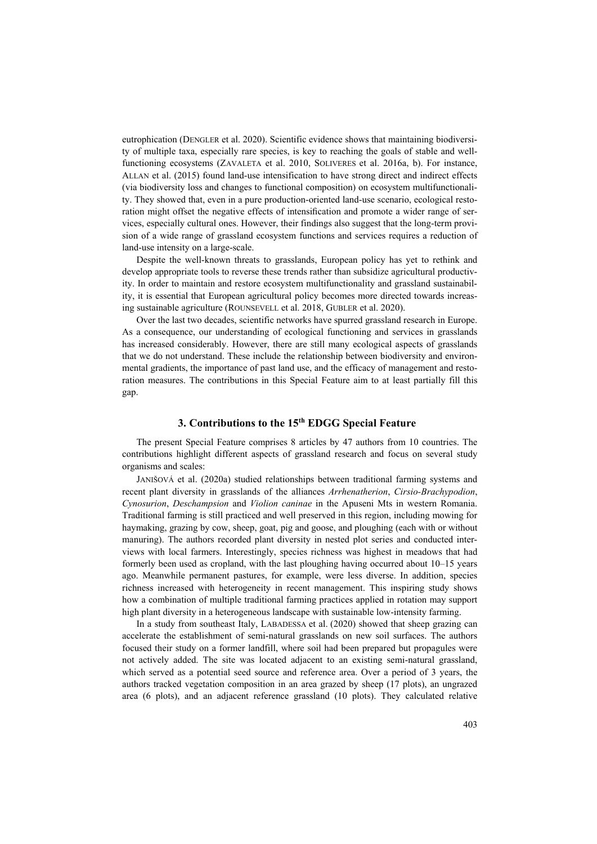eutrophication (DENGLER et al. 2020). Scientific evidence shows that maintaining biodiversity of multiple taxa, especially rare species, is key to reaching the goals of stable and wellfunctioning ecosystems (ZAVALETA et al. 2010, SOLIVERES et al. 2016a, b). For instance, ALLAN et al. (2015) found land-use intensification to have strong direct and indirect effects (via biodiversity loss and changes to functional composition) on ecosystem multifunctionality. They showed that, even in a pure production-oriented land-use scenario, ecological restoration might offset the negative effects of intensification and promote a wider range of services, especially cultural ones. However, their findings also suggest that the long-term provision of a wide range of grassland ecosystem functions and services requires a reduction of land-use intensity on a large-scale.

Despite the well-known threats to grasslands, European policy has yet to rethink and develop appropriate tools to reverse these trends rather than subsidize agricultural productivity. In order to maintain and restore ecosystem multifunctionality and grassland sustainability, it is essential that European agricultural policy becomes more directed towards increasing sustainable agriculture (ROUNSEVELL et al. 2018, GUBLER et al. 2020).

Over the last two decades, scientific networks have spurred grassland research in Europe. As a consequence, our understanding of ecological functioning and services in grasslands has increased considerably. However, there are still many ecological aspects of grasslands that we do not understand. These include the relationship between biodiversity and environmental gradients, the importance of past land use, and the efficacy of management and restoration measures. The contributions in this Special Feature aim to at least partially fill this gap.

# **3. Contributions to the 15th EDGG Special Feature**

The present Special Feature comprises 8 articles by 47 authors from 10 countries. The contributions highlight different aspects of grassland research and focus on several study organisms and scales:

JANIŠOVÁ et al. (2020a) studied relationships between traditional farming systems and recent plant diversity in grasslands of the alliances *Arrhenatherion*, *Cirsio-Brachypodion*, *Cynosurion*, *Deschampsion* and *Violion caninae* in the Apuseni Mts in western Romania. Traditional farming is still practiced and well preserved in this region, including mowing for haymaking, grazing by cow, sheep, goat, pig and goose, and ploughing (each with or without manuring). The authors recorded plant diversity in nested plot series and conducted interviews with local farmers. Interestingly, species richness was highest in meadows that had formerly been used as cropland, with the last ploughing having occurred about 10–15 years ago. Meanwhile permanent pastures, for example, were less diverse. In addition, species richness increased with heterogeneity in recent management. This inspiring study shows how a combination of multiple traditional farming practices applied in rotation may support high plant diversity in a heterogeneous landscape with sustainable low-intensity farming.

In a study from southeast Italy, LABADESSA et al. (2020) showed that sheep grazing can accelerate the establishment of semi-natural grasslands on new soil surfaces. The authors focused their study on a former landfill, where soil had been prepared but propagules were not actively added. The site was located adjacent to an existing semi-natural grassland, which served as a potential seed source and reference area. Over a period of 3 years, the authors tracked vegetation composition in an area grazed by sheep (17 plots), an ungrazed area (6 plots), and an adjacent reference grassland (10 plots). They calculated relative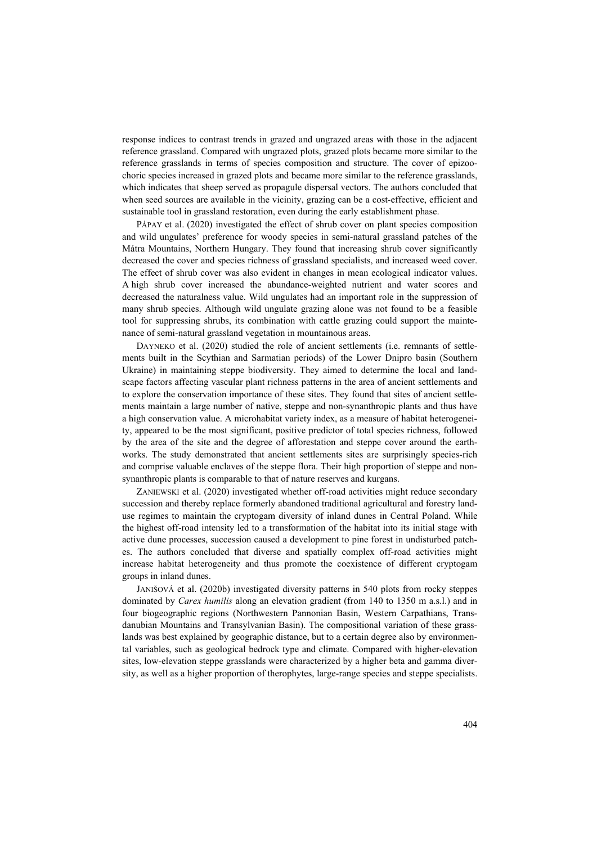response indices to contrast trends in grazed and ungrazed areas with those in the adjacent reference grassland. Compared with ungrazed plots, grazed plots became more similar to the reference grasslands in terms of species composition and structure. The cover of epizoochoric species increased in grazed plots and became more similar to the reference grasslands, which indicates that sheep served as propagule dispersal vectors. The authors concluded that when seed sources are available in the vicinity, grazing can be a cost-effective, efficient and sustainable tool in grassland restoration, even during the early establishment phase.

PÁPAY et al. (2020) investigated the effect of shrub cover on plant species composition and wild ungulates' preference for woody species in semi-natural grassland patches of the Mátra Mountains, Northern Hungary. They found that increasing shrub cover significantly decreased the cover and species richness of grassland specialists, and increased weed cover. The effect of shrub cover was also evident in changes in mean ecological indicator values. A high shrub cover increased the abundance-weighted nutrient and water scores and decreased the naturalness value. Wild ungulates had an important role in the suppression of many shrub species. Although wild ungulate grazing alone was not found to be a feasible tool for suppressing shrubs, its combination with cattle grazing could support the maintenance of semi-natural grassland vegetation in mountainous areas.

DAYNEKO et al. (2020) studied the role of ancient settlements (i.e. remnants of settlements built in the Scythian and Sarmatian periods) of the Lower Dnipro basin (Southern Ukraine) in maintaining steppe biodiversity. They aimed to determine the local and landscape factors affecting vascular plant richness patterns in the area of ancient settlements and to explore the conservation importance of these sites. They found that sites of ancient settlements maintain a large number of native, steppe and non-synanthropic plants and thus have a high conservation value. A microhabitat variety index, as a measure of habitat heterogeneity, appeared to be the most significant, positive predictor of total species richness, followed by the area of the site and the degree of afforestation and steppe cover around the earthworks. The study demonstrated that ancient settlements sites are surprisingly species-rich and comprise valuable enclaves of the steppe flora. Their high proportion of steppe and nonsynanthropic plants is comparable to that of nature reserves and kurgans.

ZANIEWSKI et al. (2020) investigated whether off-road activities might reduce secondary succession and thereby replace formerly abandoned traditional agricultural and forestry landuse regimes to maintain the cryptogam diversity of inland dunes in Central Poland. While the highest off-road intensity led to a transformation of the habitat into its initial stage with active dune processes, succession caused a development to pine forest in undisturbed patches. The authors concluded that diverse and spatially complex off-road activities might increase habitat heterogeneity and thus promote the coexistence of different cryptogam groups in inland dunes.

JANIŠOVÁ et al. (2020b) investigated diversity patterns in 540 plots from rocky steppes dominated by *Carex humilis* along an elevation gradient (from 140 to 1350 m a.s.l.) and in four biogeographic regions (Northwestern Pannonian Basin, Western Carpathians, Transdanubian Mountains and Transylvanian Basin). The compositional variation of these grasslands was best explained by geographic distance, but to a certain degree also by environmental variables, such as geological bedrock type and climate. Compared with higher-elevation sites, low-elevation steppe grasslands were characterized by a higher beta and gamma diversity, as well as a higher proportion of therophytes, large-range species and steppe specialists.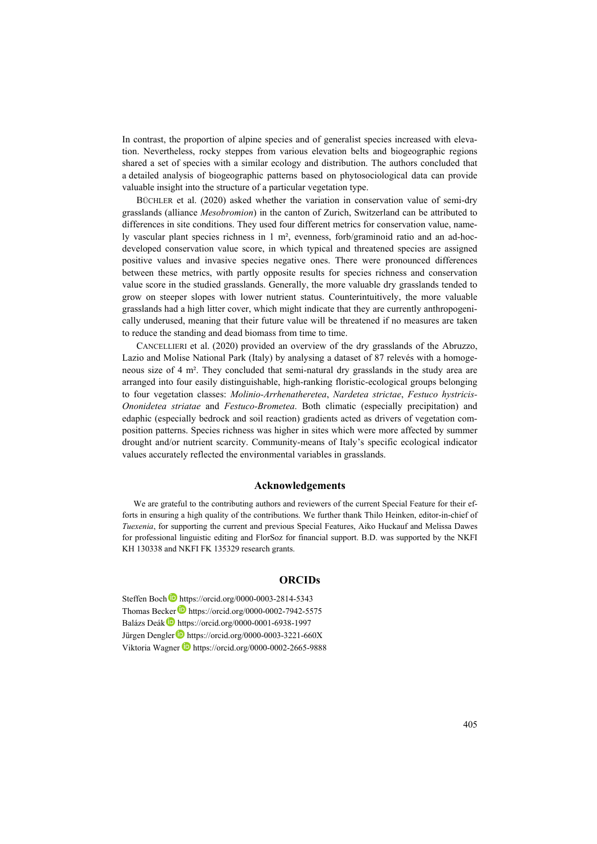In contrast, the proportion of alpine species and of generalist species increased with elevation. Nevertheless, rocky steppes from various elevation belts and biogeographic regions shared a set of species with a similar ecology and distribution. The authors concluded that a detailed analysis of biogeographic patterns based on phytosociological data can provide valuable insight into the structure of a particular vegetation type.

BÜCHLER et al. (2020) asked whether the variation in conservation value of semi-dry grasslands (alliance *Mesobromion*) in the canton of Zurich, Switzerland can be attributed to differences in site conditions. They used four different metrics for conservation value, namely vascular plant species richness in 1 m², evenness, forb/graminoid ratio and an ad-hocdeveloped conservation value score, in which typical and threatened species are assigned positive values and invasive species negative ones. There were pronounced differences between these metrics, with partly opposite results for species richness and conservation value score in the studied grasslands. Generally, the more valuable dry grasslands tended to grow on steeper slopes with lower nutrient status. Counterintuitively, the more valuable grasslands had a high litter cover, which might indicate that they are currently anthropogenically underused, meaning that their future value will be threatened if no measures are taken to reduce the standing and dead biomass from time to time.

CANCELLIERI et al. (2020) provided an overview of the dry grasslands of the Abruzzo, Lazio and Molise National Park (Italy) by analysing a dataset of 87 relevés with a homogeneous size of 4 m². They concluded that semi-natural dry grasslands in the study area are arranged into four easily distinguishable, high-ranking floristic-ecological groups belonging to four vegetation classes: *Molinio-Arrhenatheretea*, *Nardetea strictae*, *Festuco hystricis-Ononidetea striatae* and *Festuco-Brometea*. Both climatic (especially precipitation) and edaphic (especially bedrock and soil reaction) gradients acted as drivers of vegetation composition patterns. Species richness was higher in sites which were more affected by summer drought and/or nutrient scarcity. Community-means of Italy's specific ecological indicator values accurately reflected the environmental variables in grasslands.

#### **Acknowledgements**

We are grateful to the contributing authors and reviewers of the current Special Feature for their efforts in ensuring a high quality of the contributions. We further thank Thilo Heinken, editor-in-chief of *Tuexenia*, for supporting the current and previous Special Features, Aiko Huckauf and Melissa Dawes for professional linguistic editing and FlorSoz for financial support. B.D. was supported by the NKFI KH 130338 and NKFI FK 135329 research grants.

# **ORCIDs**

Steffen Boch https://orcid.org/0000-0003-2814-5343 Thomas Becker **https://orcid.org/0000-0002-7942-5575** Balázs Deák https://orcid.org/0000-0001-6938-1997 Jürgen Dengler<sup>D</sup> https://orcid.org/0000-0003-3221-660X ViktoriaWagner https://orcid.org/0000-0002-2665-9888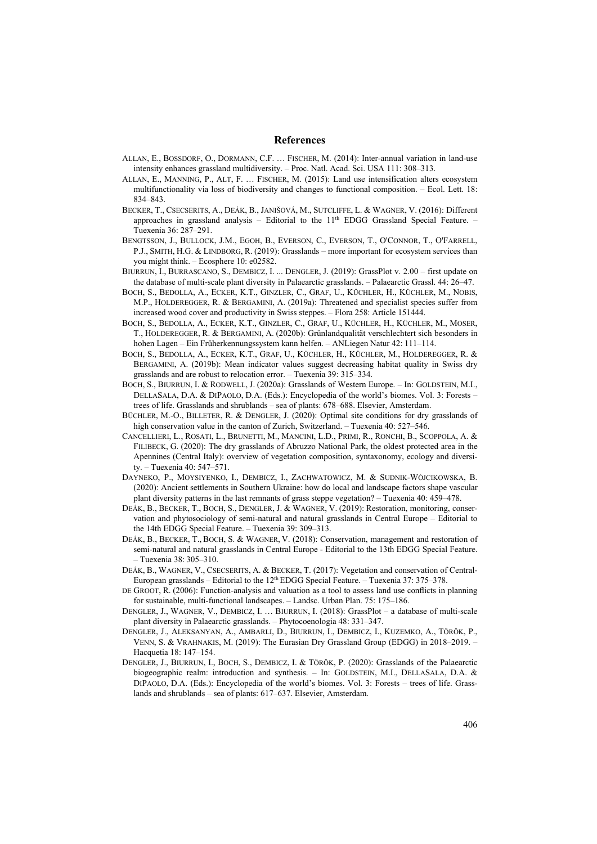#### **References**

- ALLAN, E., BOSSDORF, O., DORMANN, C.F. … FISCHER, M. (2014): Inter-annual variation in land-use intensity enhances grassland multidiversity. – Proc. Natl. Acad. Sci. USA 111: 308–313.
- ALLAN, E., MANNING, P., ALT, F. … FISCHER, M. (2015): Land use intensification alters ecosystem multifunctionality via loss of biodiversity and changes to functional composition. – Ecol. Lett. 18: 834–843.
- BECKER, T., CSECSERITS, A., DEÁK, B., JANIŠOVÁ, M., SUTCLIFFE, L. & WAGNER, V. (2016): Different approaches in grassland analysis – Editorial to the  $11<sup>th</sup>$  EDGG Grassland Special Feature. – Tuexenia 36: 287–291.
- BENGTSSON, J., BULLOCK, J.M., EGOH, B., EVERSON, C., EVERSON, T., O'CONNOR, T., O'FARRELL, P.J., SMITH, H.G. & LINDBORG, R. (2019): Grasslands – more important for ecosystem services than you might think. – Ecosphere 10: e02582.
- BIURRUN, I., BURRASCANO, S., DEMBICZ, I. ... DENGLER, J. (2019): GrassPlot v. 2.00 first update on the database of multi-scale plant diversity in Palaearctic grasslands. – Palaearctic Grassl. 44: 26–47.
- BOCH, S., BEDOLLA, A., ECKER, K.T., GINZLER, C., GRAF, U., KÜCHLER, H., KÜCHLER, M., NOBIS, M.P., HOLDEREGGER, R. & BERGAMINI, A. (2019a): Threatened and specialist species suffer from increased wood cover and productivity in Swiss steppes. – Flora 258: Article 151444.
- BOCH, S., BEDOLLA, A., ECKER, K.T., GINZLER, C., GRAF, U., KÜCHLER, H., KÜCHLER, M., MOSER, T., HOLDEREGGER, R. & BERGAMINI, A. (2020b): Grünlandqualität verschlechtert sich besonders in hohen Lagen – Ein Früherkennungssystem kann helfen. – ANLiegen Natur 42: 111–114.
- BOCH, S., BEDOLLA, A., ECKER, K.T., GRAF, U., KÜCHLER, H., KÜCHLER, M., HOLDEREGGER, R. & BERGAMINI, A. (2019b): Mean indicator values suggest decreasing habitat quality in Swiss dry grasslands and are robust to relocation error. – Tuexenia 39: 315–334.
- BOCH, S., BIURRUN, I. & RODWELL, J. (2020a): Grasslands of Western Europe. In: GOLDSTEIN, M.I., DELLASALA, D.A. & DIPAOLO, D.A. (Eds.): Encyclopedia of the world's biomes. Vol. 3: Forests – trees of life. Grasslands and shrublands – sea of plants: 678–688. Elsevier, Amsterdam.
- BÜCHLER, M.-O., BILLETER, R. & DENGLER, J. (2020): Optimal site conditions for dry grasslands of high conservation value in the canton of Zurich, Switzerland. – Tuexenia 40: 527–546.
- CANCELLIERI, L., ROSATI, L., BRUNETTI, M., MANCINI, L.D., PRIMI, R., RONCHI, B., SCOPPOLA, A. & FILIBECK, G. (2020): The dry grasslands of Abruzzo National Park, the oldest protected area in the Apennines (Central Italy): overview of vegetation composition, syntaxonomy, ecology and diversity. – Tuexenia 40: 547–571.
- DAYNEKO, P., MOYSIYENKO, I., DEMBICZ, I., ZACHWATOWICZ, M. & SUDNIK-WÓJCIKOWSKA, B. (2020): Ancient settlements in Southern Ukraine: how do local and landscape factors shape vascular plant diversity patterns in the last remnants of grass steppe vegetation? – Tuexenia 40: 459–478.
- DEÁK, B., BECKER, T., BOCH, S., DENGLER, J. & WAGNER, V. (2019): Restoration, monitoring, conservation and phytosociology of semi-natural and natural grasslands in Central Europe – Editorial to the 14th EDGG Special Feature. – Tuexenia 39: 309–313.
- DEÁK, B., BECKER, T., BOCH, S. & WAGNER, V. (2018): Conservation, management and restoration of semi-natural and natural grasslands in Central Europe - Editorial to the 13th EDGG Special Feature. – Tuexenia 38: 305–310.
- DEÁK, B., WAGNER, V., CSECSERITS, A. & BECKER, T. (2017): Vegetation and conservation of Central-European grasslands – Editorial to the  $12<sup>th</sup>$  EDGG Special Feature. – Tuexenia 37: 375–378.
- DE GROOT, R. (2006): Function-analysis and valuation as a tool to assess land use conflicts in planning for sustainable, multi-functional landscapes. – Landsc. Urban Plan. 75: 175–186.
- DENGLER, J., WAGNER, V., DEMBICZ, I. … BIURRUN, I. (2018): GrassPlot a database of multi-scale plant diversity in Palaearctic grasslands. – Phytocoenologia 48: 331–347.
- DENGLER, J., ALEKSANYAN, A., AMBARLI, D., BIURRUN, I., DEMBICZ, I., KUZEMKO, A., TÖRÖK, P., VENN, S. & VRAHNAKIS, M. (2019): The Eurasian Dry Grassland Group (EDGG) in 2018–2019. – Hacquetia 18: 147–154.
- DENGLER, J., BIURRUN, I., BOCH, S., DEMBICZ, I. & TÖRÖK, P. (2020): Grasslands of the Palaearctic biogeographic realm: introduction and synthesis. - In: GOLDSTEIN, M.I., DELLASALA, D.A. & DIPAOLO, D.A. (Eds.): Encyclopedia of the world's biomes. Vol. 3: Forests – trees of life. Grasslands and shrublands – sea of plants: 617–637. Elsevier, Amsterdam.